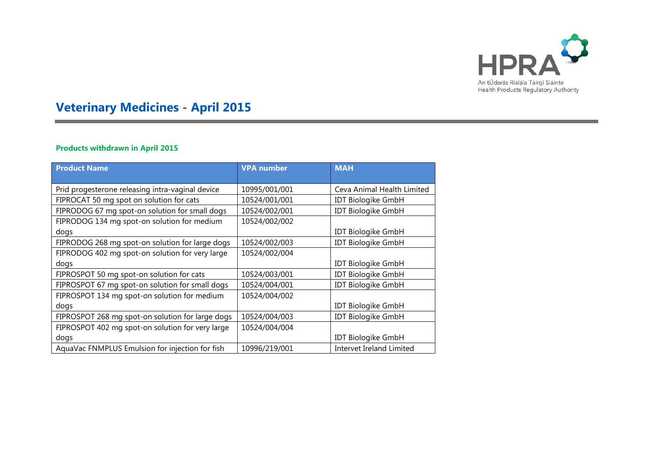

# **Veterinary Medicines - April 2015**

## **Products withdrawn in April 2015**

| <b>Product Name</b>                              | <b>VPA number</b> | <b>MAH</b>                 |
|--------------------------------------------------|-------------------|----------------------------|
|                                                  |                   |                            |
| Prid progesterone releasing intra-vaginal device | 10995/001/001     | Ceva Animal Health Limited |
| FIPROCAT 50 mg spot on solution for cats         | 10524/001/001     | <b>IDT Biologike GmbH</b>  |
| FIPRODOG 67 mg spot-on solution for small dogs   | 10524/002/001     | <b>IDT Biologike GmbH</b>  |
| FIPRODOG 134 mg spot-on solution for medium      | 10524/002/002     |                            |
| dogs                                             |                   | <b>IDT Biologike GmbH</b>  |
| FIPRODOG 268 mg spot-on solution for large dogs  | 10524/002/003     | <b>IDT Biologike GmbH</b>  |
| FIPRODOG 402 mg spot-on solution for very large  | 10524/002/004     |                            |
| dogs                                             |                   | <b>IDT Biologike GmbH</b>  |
| FIPROSPOT 50 mg spot-on solution for cats        | 10524/003/001     | <b>IDT Biologike GmbH</b>  |
| FIPROSPOT 67 mg spot-on solution for small dogs  | 10524/004/001     | <b>IDT Biologike GmbH</b>  |
| FIPROSPOT 134 mg spot-on solution for medium     | 10524/004/002     |                            |
| dogs                                             |                   | <b>IDT Biologike GmbH</b>  |
| FIPROSPOT 268 mg spot-on solution for large dogs | 10524/004/003     | <b>IDT Biologike GmbH</b>  |
| FIPROSPOT 402 mg spot-on solution for very large | 10524/004/004     |                            |
| dogs                                             |                   | <b>IDT Biologike GmbH</b>  |
| AquaVac FNMPLUS Emulsion for injection for fish  | 10996/219/001     | Intervet Ireland Limited   |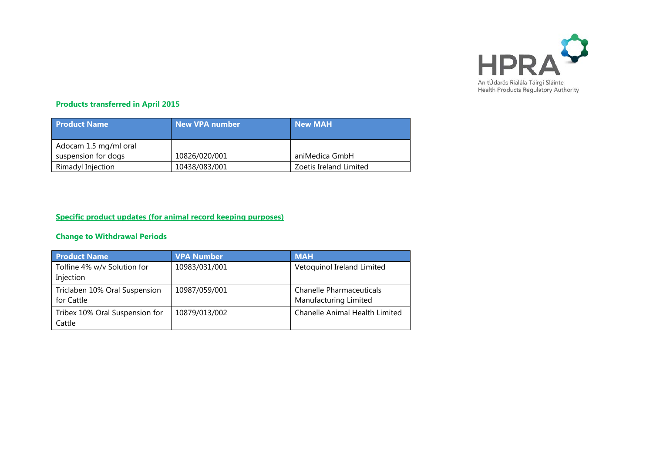

#### **Products transferred in April 2015**

| <b>Product Name</b>                          | New VPA number | <b>New MAH</b>         |
|----------------------------------------------|----------------|------------------------|
| Adocam 1.5 mg/ml oral<br>suspension for dogs | 10826/020/001  | aniMedica GmbH         |
| Rimadyl Injection                            | 10438/083/001  | Zoetis Ireland Limited |

#### **Specific product updates (for animal record keeping purposes)**

#### **Change to Withdrawal Periods**

| <b>Product Name</b>                      | <b>VPA Number</b> | <b>MAH</b>                      |
|------------------------------------------|-------------------|---------------------------------|
| Tolfine 4% w/v Solution for<br>Injection | 10983/031/001     | Vetoquinol Ireland Limited      |
|                                          |                   |                                 |
| Triclaben 10% Oral Suspension            | 10987/059/001     | <b>Chanelle Pharmaceuticals</b> |
| for Cattle                               |                   | Manufacturing Limited           |
| Tribex 10% Oral Suspension for           | 10879/013/002     | Chanelle Animal Health Limited  |
| Cattle                                   |                   |                                 |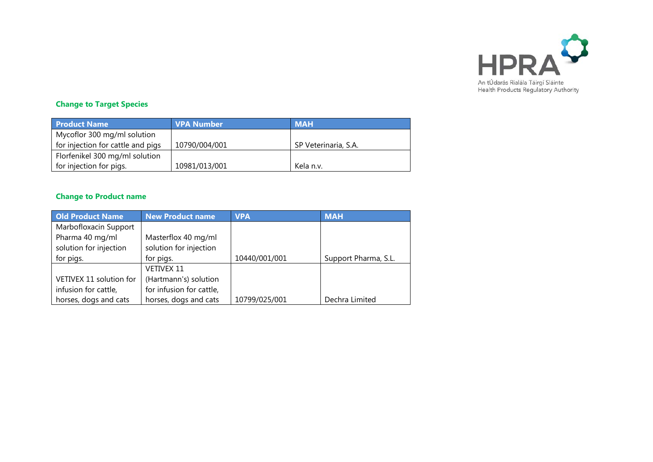

## **Change to Target Species**

| <b>Product Name</b>               | <b>VPA Number</b> | <b>MAH</b>           |
|-----------------------------------|-------------------|----------------------|
| Mycoflor 300 mg/ml solution       |                   |                      |
| for injection for cattle and pigs | 10790/004/001     | SP Veterinaria, S.A. |
| Florfenikel 300 mg/ml solution    |                   |                      |
| for injection for pigs.           | 10981/013/001     | Kela n.v.            |

#### **Change to Product name**

| <b>Old Product Name</b> | <b>New Product name</b>  | <b>VPA</b>    | <b>MAH</b>           |
|-------------------------|--------------------------|---------------|----------------------|
| Marbofloxacin Support   |                          |               |                      |
| Pharma 40 mg/ml         | Masterflox 40 mg/ml      |               |                      |
| solution for injection  | solution for injection   |               |                      |
| for pigs.               | for pigs.                | 10440/001/001 | Support Pharma, S.L. |
|                         | <b>VETIVEX 11</b>        |               |                      |
| VETIVEX 11 solution for | (Hartmann's) solution    |               |                      |
| infusion for cattle,    | for infusion for cattle, |               |                      |
| horses, dogs and cats   | horses, dogs and cats    | 10799/025/001 | Dechra Limited       |